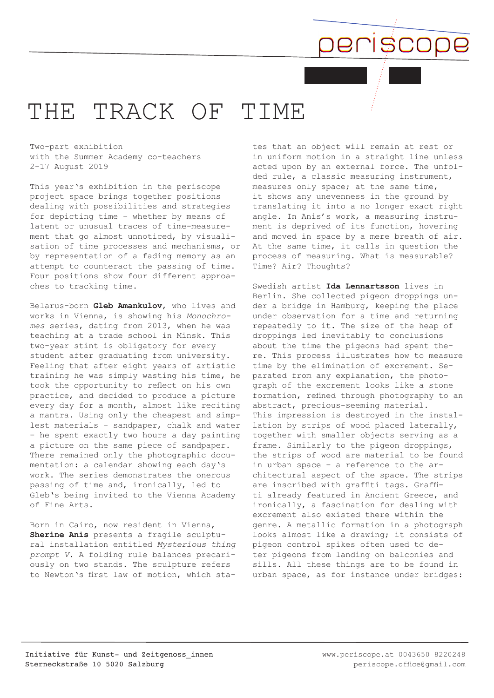## THE TRACK OF TIME

Two-part exhibition with the Summer Academy co-teachers 2–17 August 2019

This year's exhibition in the periscope project space brings together positions dealing with possibilities and strategies for depicting time – whether by means of latent or unusual traces of time-measurement that go almost unnoticed, by visualisation of time processes and mechanisms, or by representation of a fading memory as an attempt to counteract the passing of time. Four positions show four different approaches to tracking time.

Belarus-born **Gleb Amankulov**, who lives and works in Vienna, is showing his *Monochromes* series, dating from 2013, when he was teaching at a trade school in Minsk. This two-year stint is obligatory for every student after graduating from university. Feeling that after eight years of artistic training he was simply wasting his time, he took the opportunity to reflect on his own practice, and decided to produce a picture every day for a month, almost like reciting a mantra. Using only the cheapest and simplest materials – sandpaper, chalk and water – he spent exactly two hours a day painting a picture on the same piece of sandpaper. There remained only the photographic documentation: a calendar showing each day's work. The series demonstrates the onerous passing of time and, ironically, led to Gleb's being invited to the Vienna Academy of Fine Arts.

Born in Cairo, now resident in Vienna, **Sherine Anis** presents a fragile sculptural installation entitled *Mysterious thing prompt V*. A folding rule balances precariously on two stands. The sculpture refers to Newton's first law of motion, which states that an object will remain at rest or in uniform motion in a straight line unless acted upon by an external force. The unfolded rule, a classic measuring instrument, measures only space; at the same time, it shows any unevenness in the ground by translating it into a no longer exact right angle. In Anis's work, a measuring instrument is deprived of its function, hovering and moved in space by a mere breath of air. At the same time, it calls in question the process of measuring. What is measurable? Time? Air? Thoughts?

DELISCI

Swedish artist **Ida Lennartsson** lives in Berlin. She collected pigeon droppings under a bridge in Hamburg, keeping the place under observation for a time and returning repeatedly to it. The size of the heap of droppings led inevitably to conclusions about the time the pigeons had spent there. This process illustrates how to measure time by the elimination of excrement. Separated from any explanation, the photograph of the excrement looks like a stone formation, refined through photography to an abstract, precious-seeming material. This impression is destroyed in the installation by strips of wood placed laterally, together with smaller objects serving as a frame. Similarly to the pigeon droppings, the strips of wood are material to be found in urban space – a reference to the architectural aspect of the space. The strips are inscribed with graffiti tags. Graffiti already featured in Ancient Greece, and ironically, a fascination for dealing with excrement also existed there within the genre. A metallic formation in a photograph looks almost like a drawing; it consists of pigeon control spikes often used to deter pigeons from landing on balconies and sills. All these things are to be found in urban space, as for instance under bridges: